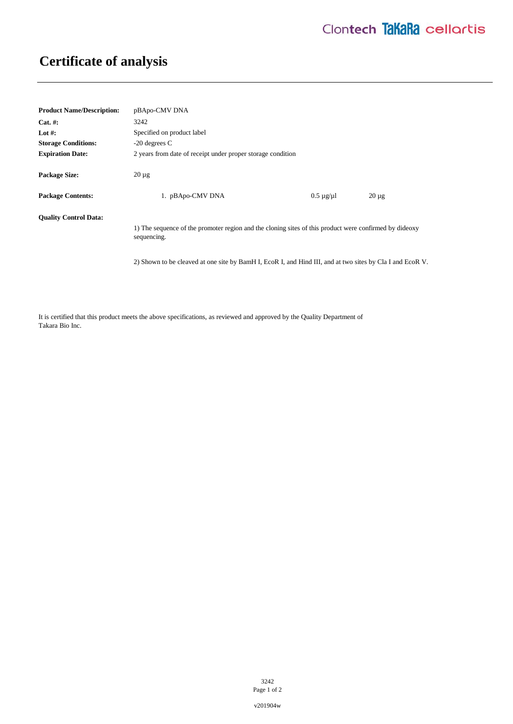## **Certificate of analysis**

| <b>Product Name/Description:</b> | pBApo-CMV DNA                                                                                                         |                      |            |
|----------------------------------|-----------------------------------------------------------------------------------------------------------------------|----------------------|------------|
| $Cat. \#:$                       | 3242                                                                                                                  |                      |            |
| Lot #:                           | Specified on product label                                                                                            |                      |            |
| <b>Storage Conditions:</b>       | $-20$ degrees C                                                                                                       |                      |            |
| <b>Expiration Date:</b>          | 2 years from date of receipt under proper storage condition                                                           |                      |            |
| <b>Package Size:</b>             | $20 \mu$ g                                                                                                            |                      |            |
| <b>Package Contents:</b>         | 1. pBApo-CMV DNA                                                                                                      | $0.5 \mu$ g/ $\mu$ l | $20 \mu g$ |
| <b>Quality Control Data:</b>     | 1) The sequence of the promoter region and the cloning sites of this product were confirmed by dideoxy<br>sequencing. |                      |            |
|                                  | 2) Shown to be cleaved at one site by BamH I, EcoR I, and Hind III, and at two sites by Cla I and EcoR V.             |                      |            |

It is certified that this product meets the above specifications, as reviewed and approved by the Quality Department of Takara Bio Inc.

> 3242 Page 1 of 2

v201904w